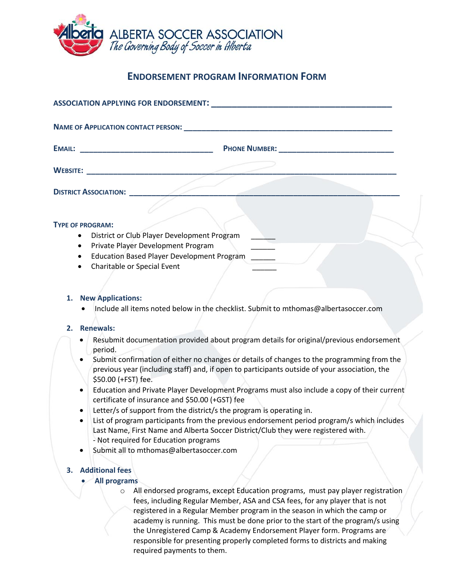

## **ENDORSEMENT PROGRAM INFORMATION FORM**

| ASSOCIATION APPLYING FOR ENDORSEMENT: Network and the second second second second second second second second |                                                                                                                                                                                 |
|---------------------------------------------------------------------------------------------------------------|---------------------------------------------------------------------------------------------------------------------------------------------------------------------------------|
|                                                                                                               |                                                                                                                                                                                 |
|                                                                                                               |                                                                                                                                                                                 |
| <b>DISTRICT ASSOCIATION:</b>                                                                                  |                                                                                                                                                                                 |
|                                                                                                               |                                                                                                                                                                                 |
| <b>TYPE OF PROGRAM:</b>                                                                                       |                                                                                                                                                                                 |
| $\bullet$                                                                                                     | District or Club Player Development Program                                                                                                                                     |
| $\bullet$                                                                                                     | Private Player Development Program                                                                                                                                              |
| $\bullet$                                                                                                     | <b>Education Based Player Development Program</b>                                                                                                                               |
| Charitable or Special Event<br>$\bullet$                                                                      |                                                                                                                                                                                 |
|                                                                                                               |                                                                                                                                                                                 |
|                                                                                                               |                                                                                                                                                                                 |
| <b>New Applications:</b><br>1.                                                                                |                                                                                                                                                                                 |
|                                                                                                               | Include all items noted below in the checklist. Submit to mthomas@albertasoccer.com                                                                                             |
|                                                                                                               |                                                                                                                                                                                 |
| <b>Renewals:</b><br>2.                                                                                        |                                                                                                                                                                                 |
| ٠                                                                                                             | Resubmit documentation provided about program details for original/previous endorsement                                                                                         |
| period.                                                                                                       |                                                                                                                                                                                 |
|                                                                                                               | Submit confirmation of either no changes or details of changes to the programming from the                                                                                      |
| \$50.00 (+FST) fee.                                                                                           | previous year (including staff) and, if open to participants outside of your association, the                                                                                   |
| $\bullet$                                                                                                     | Education and Private Player Development Programs must also include a copy of their current<br>certificate of insurance and \$50.00 (+GST) fee                                  |
| $\bullet$                                                                                                     | Letter/s of support from the district/s the program is operating in.                                                                                                            |
|                                                                                                               | List of program participants from the previous endorsement period program/s which includes<br>Last Name, First Name and Alberta Soccer District/Club they were registered with. |
|                                                                                                               | - Not required for Education programs                                                                                                                                           |
|                                                                                                               | Submit all to mthomas@albertasoccer.com                                                                                                                                         |
|                                                                                                               |                                                                                                                                                                                 |
| <b>Additional fees</b><br>3.                                                                                  |                                                                                                                                                                                 |

## • **All programs**

o All endorsed programs, except Education programs, must pay player registration fees, including Regular Member, ASA and CSA fees, for any player that is not registered in a Regular Member program in the season in which the camp or academy is running. This must be done prior to the start of the program/s using the Unregistered Camp & Academy Endorsement Player form. Programs are responsible for presenting properly completed forms to districts and making required payments to them.